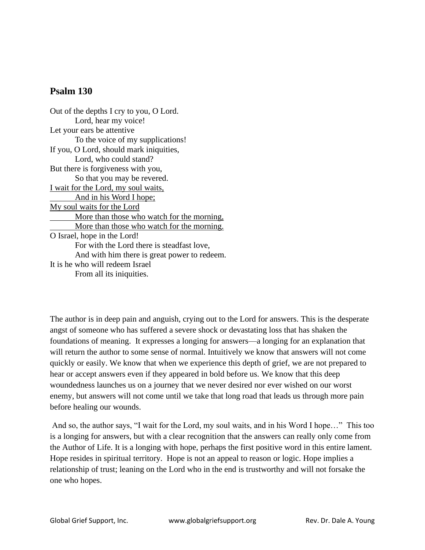## **Psalm 130**

Out of the depths I cry to you, O Lord. Lord, hear my voice! Let your ears be attentive To the voice of my supplications! If you, O Lord, should mark iniquities, Lord, who could stand? But there is forgiveness with you, So that you may be revered. I wait for the Lord, my soul waits, And in his Word I hope; My soul waits for the Lord More than those who watch for the morning, More than those who watch for the morning. O Israel, hope in the Lord! For with the Lord there is steadfast love, And with him there is great power to redeem. It is he who will redeem Israel From all its iniquities.

The author is in deep pain and anguish, crying out to the Lord for answers. This is the desperate angst of someone who has suffered a severe shock or devastating loss that has shaken the foundations of meaning. It expresses a longing for answers—a longing for an explanation that will return the author to some sense of normal. Intuitively we know that answers will not come quickly or easily. We know that when we experience this depth of grief, we are not prepared to hear or accept answers even if they appeared in bold before us. We know that this deep woundedness launches us on a journey that we never desired nor ever wished on our worst enemy, but answers will not come until we take that long road that leads us through more pain before healing our wounds.

And so, the author says, "I wait for the Lord, my soul waits, and in his Word I hope…" This too is a longing for answers, but with a clear recognition that the answers can really only come from the Author of Life. It is a longing with hope, perhaps the first positive word in this entire lament. Hope resides in spiritual territory. Hope is not an appeal to reason or logic. Hope implies a relationship of trust; leaning on the Lord who in the end is trustworthy and will not forsake the one who hopes.